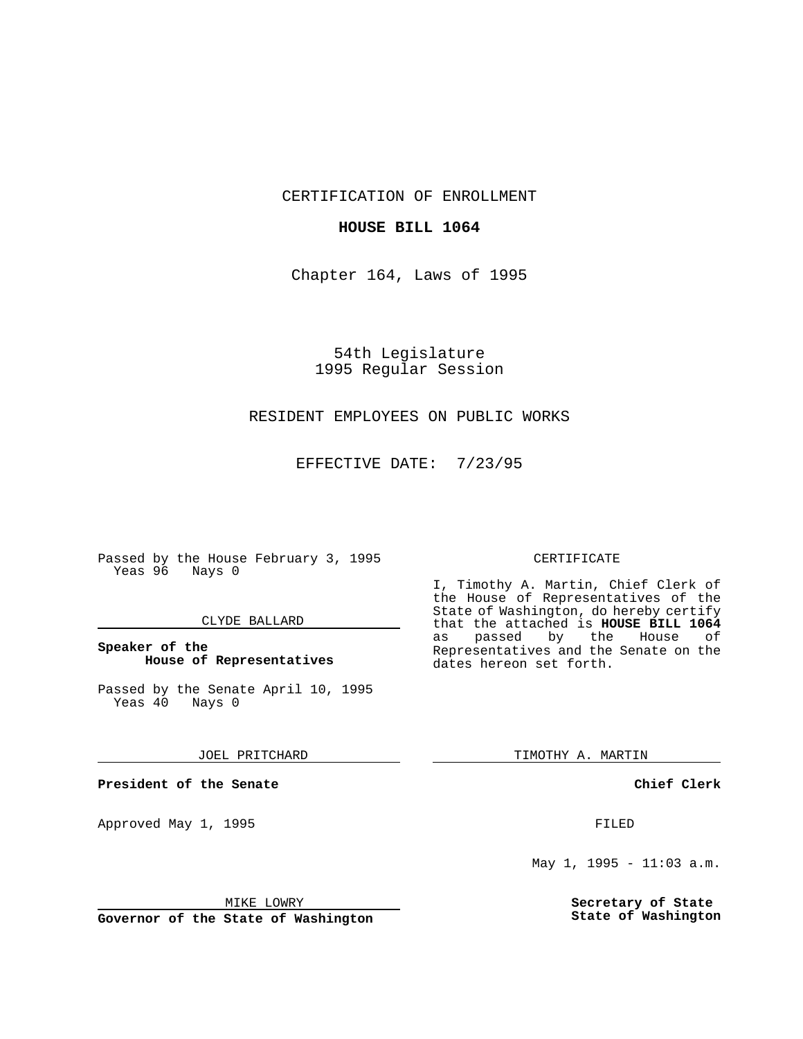CERTIFICATION OF ENROLLMENT

## **HOUSE BILL 1064**

Chapter 164, Laws of 1995

54th Legislature 1995 Regular Session

# RESIDENT EMPLOYEES ON PUBLIC WORKS

EFFECTIVE DATE: 7/23/95

Passed by the House February 3, 1995 Yeas 96 Nays 0

#### CLYDE BALLARD

# **Speaker of the House of Representatives**

Passed by the Senate April 10, 1995<br>Yeas 40 Nays 0 Yeas 40

#### JOEL PRITCHARD

**President of the Senate**

Approved May 1, 1995 **FILED** 

## MIKE LOWRY

**Governor of the State of Washington**

#### CERTIFICATE

I, Timothy A. Martin, Chief Clerk of the House of Representatives of the State of Washington, do hereby certify that the attached is **HOUSE BILL 1064**<br>as passed by the House of as passed by the House of Representatives and the Senate on the dates hereon set forth.

TIMOTHY A. MARTIN

## **Chief Clerk**

May 1, 1995 - 11:03 a.m.

**Secretary of State State of Washington**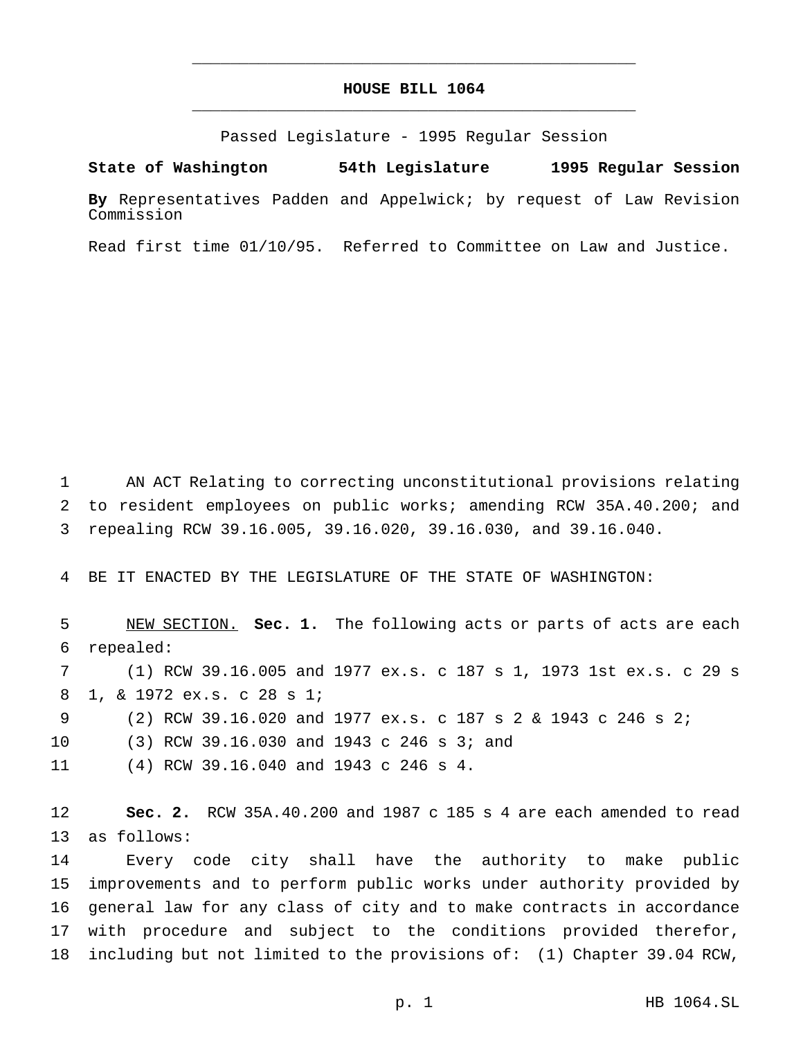# **HOUSE BILL 1064** \_\_\_\_\_\_\_\_\_\_\_\_\_\_\_\_\_\_\_\_\_\_\_\_\_\_\_\_\_\_\_\_\_\_\_\_\_\_\_\_\_\_\_\_\_\_\_

\_\_\_\_\_\_\_\_\_\_\_\_\_\_\_\_\_\_\_\_\_\_\_\_\_\_\_\_\_\_\_\_\_\_\_\_\_\_\_\_\_\_\_\_\_\_\_

Passed Legislature - 1995 Regular Session

**State of Washington 54th Legislature 1995 Regular Session**

**By** Representatives Padden and Appelwick; by request of Law Revision Commission

Read first time 01/10/95. Referred to Committee on Law and Justice.

 AN ACT Relating to correcting unconstitutional provisions relating to resident employees on public works; amending RCW 35A.40.200; and repealing RCW 39.16.005, 39.16.020, 39.16.030, and 39.16.040.

BE IT ENACTED BY THE LEGISLATURE OF THE STATE OF WASHINGTON:

 NEW SECTION. **Sec. 1.** The following acts or parts of acts are each repealed: (1) RCW 39.16.005 and 1977 ex.s. c 187 s 1, 1973 1st ex.s. c 29 s 1, & 1972 ex.s. c 28 s 1; (2) RCW 39.16.020 and 1977 ex.s. c 187s2& 1943 c 246 s 2; (3) RCW 39.16.030 and 1943 c 246 s 3; and (4) RCW 39.16.040 and 1943 c 246 s 4.

 **Sec. 2.** RCW 35A.40.200 and 1987 c 185 s 4 are each amended to read as follows:

 Every code city shall have the authority to make public improvements and to perform public works under authority provided by general law for any class of city and to make contracts in accordance with procedure and subject to the conditions provided therefor, including but not limited to the provisions of: (1) Chapter 39.04 RCW,